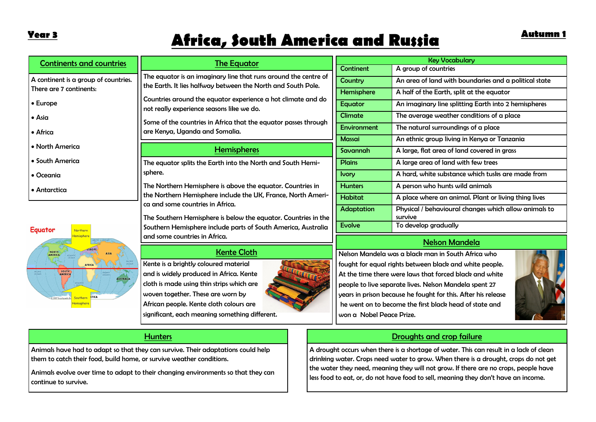NORTH

SOUTH<br>AMERICA

# **Africa, South America and Russia Year 3 Autumn 1**

| <b>Continents and countries</b>      | The Equator                                                                                               | <b>Key Vocabulary</b> |                                                       |  |  |
|--------------------------------------|-----------------------------------------------------------------------------------------------------------|-----------------------|-------------------------------------------------------|--|--|
|                                      |                                                                                                           | <b>Continent</b>      | A group of countries                                  |  |  |
| A continent is a group of countries. | The equator is an imaginary line that runs around the centre of                                           | Country               | An area of land with boundaries and a political state |  |  |
| l There are 7 continents:            | the Earth. It lies halfway between the North and South Pole.                                              | Hemisphere            | A half of the Earth, split at the equator             |  |  |
| <b>Europe</b>                        | Countries around the equator experience a hot climate and do<br>not really experience seasons like we do. | Equator               | An imaginary line splitting Earth into 2 hemispheres  |  |  |
| l • Asia                             |                                                                                                           | Climate               | The average weather conditions of a place             |  |  |
| • Africa                             | Some of the countries in Africa that the equator passes through<br>are Kenya, Uganda and Somalia.         | Environment           | The natural surroundings of a place                   |  |  |
|                                      |                                                                                                           | <b>Massai</b>         | An ethnic group living in Kenya or Tanzania           |  |  |
| l • North America                    | <b>Hemispheres</b>                                                                                        | Savannah              | A large, flat area of land covered in grass           |  |  |
| • South America                      | The equator splits the Earth into the North and South Hemi-                                               | <b>Plains</b>         | A large area of land with few trees                   |  |  |
| Oceania                              | sphere.                                                                                                   |                       | A hard, white substance which tusks are made from     |  |  |
| $\bullet$ Antarctica                 | The Northern Hemisphere is above the equator. Countries in                                                | <b>Hunters</b>        | A person who hunts wild animals                       |  |  |
|                                      | the Northern Hemisphere include the UK, France, North Ameri-                                              | <b>Habitat</b>        | A place where an animal. Plant or living thing lives  |  |  |
|                                      | ca and some countries in Africa.                                                                          | <b>Adaptation</b>     | Physical / behavioural changes which allow animals to |  |  |
|                                      | The Southern Hemisphere is below the equator. Countries in the                                            |                       | survive                                               |  |  |
| Equator<br>Northern                  | Southern Hemisphere include parts of South America, Australia                                             | <b>Evolve</b>         | To develop gradually                                  |  |  |
| <u> Iemisphere</u><br>ARCTIC CCEAN   | and some countries in Africa.                                                                             | Nekon Mandela         |                                                       |  |  |

### Kente Cloth

Kente is a brightly coloured material and is widely produced in Africa. Kente cloth is made using thin strips which are woven together. These are worn by African people. Kente cloth colours are significant, each meaning something different.



|  | <b>Nelson Mandela</b> |                                                 |  |
|--|-----------------------|-------------------------------------------------|--|
|  |                       | $\cdot$ h man in Cauth Africa $\cdot\cdot\cdot$ |  |

Nelson Mandela was a black man in South Africa who fought for equal rights between black and white people. At the time there were laws that forced black and white people to live separate lives. Nelson Mandela spent 27 years in prison because he fought for this. After his release he went on to become the first black head of state and won a Nobel Peace Prize.



## Droughts and crop failure

A drought occurs when there is a shortage of water. This can result in a lack of clean drinking water. Crops need water to grow. When there is a drought, crops do not get the water they need, meaning they will not grow. If there are no crops, people have less food to eat, or, do not have food to sell, meaning they don't have an income.

### **Hunters**

Animals have had to adapt so that they can survive. Their adaptations could help them to catch their food, build home, or survive weather conditions.

AUSTRALIA

Animals evolve over time to adapt to their changing environments so that they can continue to survive.